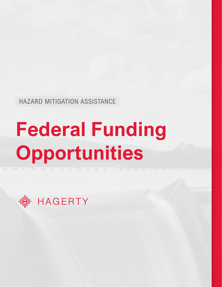HAZARD MITIGATION ASSISTANCE

# **Federal Funding Opportunities**

(H) HAGERTY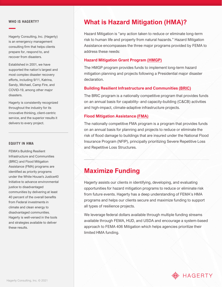#### **WHO IS HAGERTY?**

Hagerty Consulting, Inc. (Hagerty) is an emergency management consulting firm that helps clients prepare for, respond to, and recover from disasters.

Established in 2001, we have supported the nation's largest and most complex disaster recovery efforts, including 9/11, Katrina, Sandy, Michael, Camp Fire, and COVID-19, among other major disasters.

Hagerty is consistently recognized throughout the industry for its innovative thinking, client-centric service, and the superior results it delivers to every project.

#### **EQUITY IN HMA**

FEMA's Building Resilient Infrastructure and Communities (BRIC) and Flood Mitigation Assistance (FMA) programs are identified as priority programs under the White House's Justice40 Initiative to advance environmental justice to disadvantaged communities by delivering at least 40 percent of the overall benefits from Federal investments in climate and clean energy to disadvantaged communities. Hagerty is well-versed in the tools and strategies available to deliver these results.

## **What is Hazard Mitigation (HMA)?**

Hazard Mitigation is "any action taken to reduce or eliminate long-term risk to human life and property from natural hazards." Hazard Mitigation Assistance encompasses the three major programs provided by FEMA to address these needs:

## **Hazard Mitigation Grant Program [\(HMGP\)](https://www.fema.gov/grants/mitigation/hazard-mitigation)**

The HMGP program provides funds to implement long-term hazard mitigation planning and projects following a Presidential major disaster declaration.

## **Building Resilient Infrastructure and Communities [\(BRIC\)](https://www.fema.gov/grants/mitigation/building-resilient-infrastructure-communities)**

The BRIC program is a nationally competitive program that provides funds on an annual basis for capability- and capacity-building (C&CB) activities and high-impact, climate-adaptive infrastructure projects.

#### **Flood Mitigation Assistance [\(FMA\)](https://www.fema.gov/grants/mitigation/floods)**

The nationally competitive FMA program is a program that provides funds on an annual basis for planning and projects to reduce or eliminate the risk of flood damage to buildings that are insured under the National Flood Insurance Program (NFIP), principally prioritizing Severe Repetitive Loss and Repetitive Loss Structures.

## **Maximize Funding**

Hagerty assists our clients in identifying, developing, and evaluating opportunities for hazard mitigation programs to reduce or eliminate risk from future events. Hagerty has a deep understanding of FEMA's HMA programs and helps our clients secure and maximize funding to support all types of resilience projects.

We leverage federal dollars available through multiple funding streams available through FEMA, HUD, and USDA and encourage a system-based approach to FEMA 406 Mitigation which helps agencies prioritize their limited HMA funding.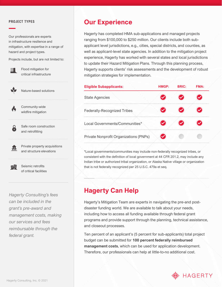#### **PROJECT TYPES**

Our professionals are experts in infrastructure resilience and mitigation, with expertise in a range of hazard and project types.

Projects include, but are not limited to:



Flood mitigation for critical infrastructure

Nature-based solutions

Community-wide wildfire mitigation

> Safe room construction and retrofitting

Private property acquisitions and structure elevations

明

兵

Seismic retrofits of critical facilities

*Hagerty Consulting's fees can be included in the grant's pre-award and management costs, making our services and fees reimbursable through the federal grant.* 

## **Our Experience**

Hagerty has completed HMA sub-applications and managed projects ranging from \$100,000 to \$250 million. Our clients include both subapplicant level jurisdictions, e.g., cities, special districts, and counties, as well as applicant-level state agencies. In addition to the mitigation project experience, Hagerty has worked with several states and local jurisdictions to update their Hazard Mitigation Plans. Through this planning process, Hagerty supports clients' risk assessments and the development of robust mitigation strategies for implementation.

| <b>Eligible Subapplicants:</b>                | HMGP: | <b>BRIC:</b> | <b>FMA:</b> |
|-----------------------------------------------|-------|--------------|-------------|
| <b>State Agencies</b>                         |       |              |             |
| <b>Federally-Recognized Tribes</b>            |       |              |             |
| Local Governments/Communities*                |       |              |             |
| <b>Private Nonprofit Organizations (PNPs)</b> |       |              |             |

\*Local governments/communities may include non-federally recognized tribes, or consistent with the definition of local government at 44 CFR 201.2, may include any Indian tribe or authorized tribal organization, or Alaska Native village or organization that is not federally recognized per 25 U.S.C. 479a et seq.

## **Hagerty Can Help**

Hagerty's Mitigation Team are experts in navigating the pre-and postdisaster funding world. We are available to talk about your needs, including how to access all funding available through federal grant programs and provide support through the planning, technical assistance, and closeout processes.

Ten percent of an applicant's (5 percent for sub-applicants) total project budget can be submitted for **100 percent federally reimbursed management costs**, which can be used for application development. Therefore, our professionals can help at little-to-no additional cost.

## **(H) HAGERTY**